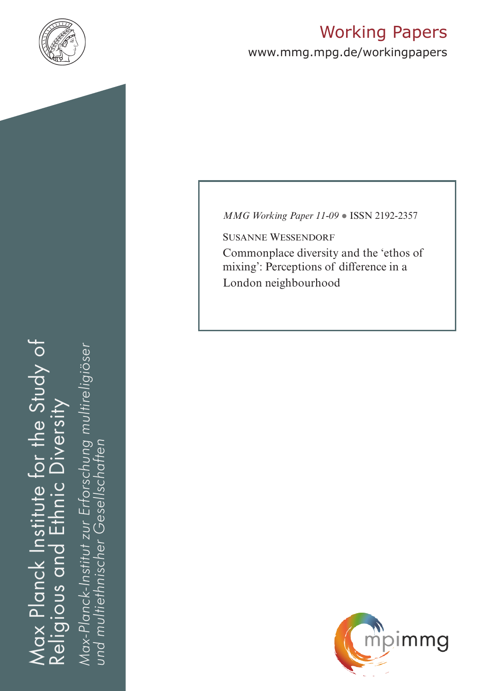

# Working Papers

www.mmg.mpg.de/workingpapers

Max Planck Institute for the Study of Religious and Ethnic Diversity ax Planck Institute for the Study of nic Diversity ய் Religious and

*Max-Planck-Institut zur Erforschung multireligiöser*  öser Max-Planck-Institut zur Erforschung multireligie *und multiethnischer Gesellschaften*und multiethnischer Gesellschaften *MMG Working Paper 11-09* ● ISSN 2192-2357

Susanne Wessendorf Commonplace diversity and the 'ethos of mixing': Perceptions of difference in a London neighbourhood

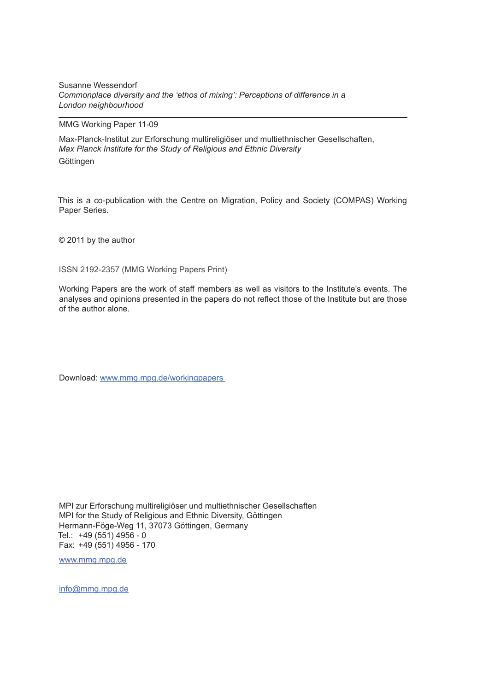Susanne Wessendorf *Commonplace diversity and the 'ethos of mixing': Perceptions of difference in a London neighbourhood*

#### MMG Working Paper 11-09

Max-Planck-Institut zur Erforschung multireligiöser und multiethnischer Gesellschaften, *Max Planck Institute for the Study of Religious and Ethnic Diversity* Göttingen

This is a co-publication with the Centre on Migration, Policy and Society (COMPAS) Working Paper Series.

© 2011 by the author

ISSN 2192-2357 (MMG Working Papers Print)

Working Papers are the work of staff members as well as visitors to the Institute's events. The analyses and opinions presented in the papers do not reflect those of the Institute but are those of the author alone.

Download: www.mmg.mpg.de/workingpapers

MPI zur Erforschung multireligiöser und multiethnischer Gesellschaften MPI for the Study of Religious and Ethnic Diversity, Göttingen Hermann-Föge-Weg 11, 37073 Göttingen, Germany Tel.: +49 (551) 4956 - 0 Fax: +49 (551) 4956 - 170

www.mmg.mpg.de

info@mmg.mpg.de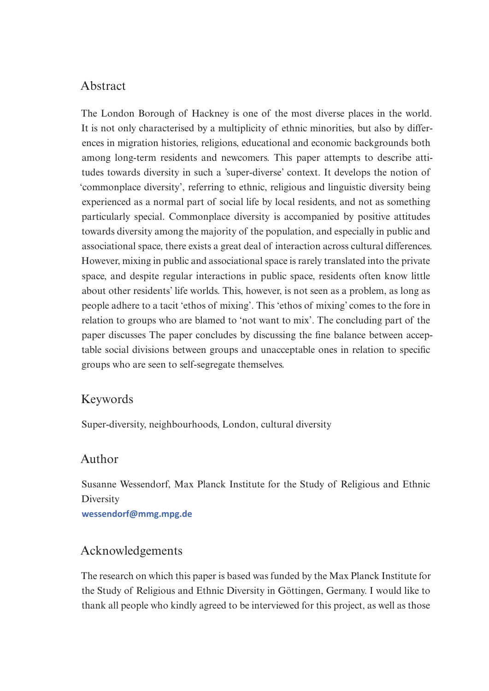## Abstract

The London Borough of Hackney is one of the most diverse places in the world. It is not only characterised by a multiplicity of ethnic minorities, but also by differences in migration histories, religions, educational and economic backgrounds both among long-term residents and newcomers. This paper attempts to describe attitudes towards diversity in such a 'super-diverse' context. It develops the notion of 'commonplace diversity', referring to ethnic, religious and linguistic diversity being experienced as a normal part of social life by local residents, and not as something particularly special. Commonplace diversity is accompanied by positive attitudes towards diversity among the majority of the population, and especially in public and associational space, there exists a great deal of interaction across cultural differences. However, mixing in public and associational space is rarely translated into the private space, and despite regular interactions in public space, residents often know little about other residents' life worlds. This, however, is not seen as a problem, as long as people adhere to a tacit 'ethos of mixing'. This 'ethos of mixing' comes to the fore in relation to groups who are blamed to 'not want to mix'. The concluding part of the paper discusses The paper concludes by discussing the fine balance between acceptable social divisions between groups and unacceptable ones in relation to specific groups who are seen to self-segregate themselves.

## Keywords

Super-diversity, neighbourhoods, London, cultural diversity

#### Author

Susanne Wessendorf, Max Planck Institute for the Study of Religious and Ethnic **Diversity wessendorf@mmg.mpg.de**

## Acknowledgements

The research on which this paper is based was funded by the Max Planck Institute for the Study of Religious and Ethnic Diversity in Göttingen, Germany. I would like to thank all people who kindly agreed to be interviewed for this project, as well as those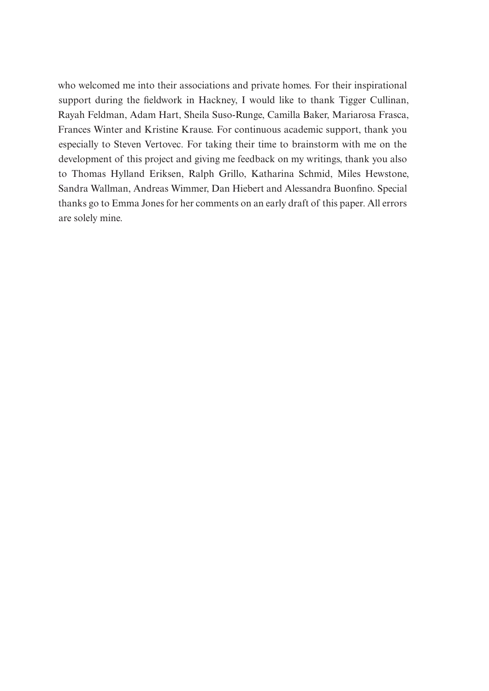who welcomed me into their associations and private homes. For their inspirational support during the fieldwork in Hackney, I would like to thank Tigger Cullinan, Rayah Feldman, Adam Hart, Sheila Suso-Runge, Camilla Baker, Mariarosa Frasca, Frances Winter and Kristine Krause. For continuous academic support, thank you especially to Steven Vertovec. For taking their time to brainstorm with me on the development of this project and giving me feedback on my writings, thank you also to Thomas Hylland Eriksen, Ralph Grillo, Katharina Schmid, Miles Hewstone, Sandra Wallman, Andreas Wimmer, Dan Hiebert and Alessandra Buonfino. Special thanks go to Emma Jones for her comments on an early draft of this paper. All errors are solely mine.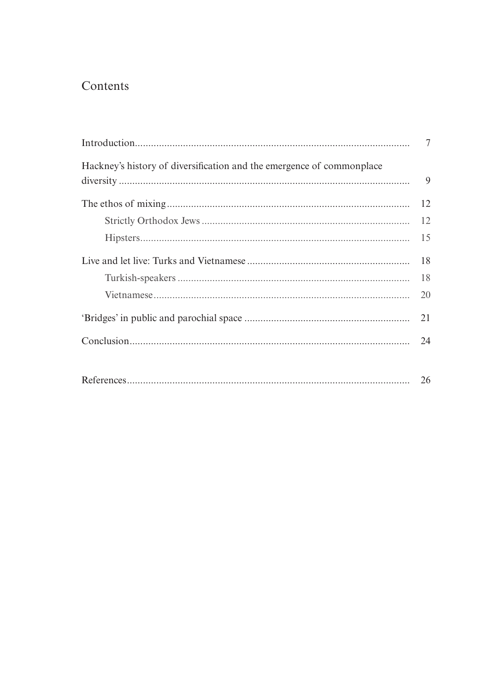# Contents

|                                                                       | $\overline{7}$ |
|-----------------------------------------------------------------------|----------------|
| Hackney's history of diversification and the emergence of commonplace |                |
|                                                                       | 9              |
|                                                                       | 12             |
|                                                                       | 12             |
|                                                                       | 15             |
|                                                                       | 18             |
|                                                                       | 18             |
|                                                                       | 20             |
|                                                                       | 21             |
|                                                                       | 24             |
|                                                                       | 26             |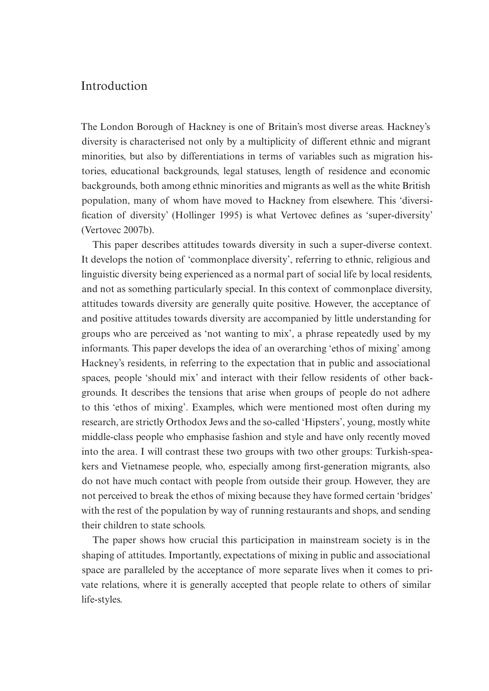## Introduction

The London Borough of Hackney is one of Britain's most diverse areas. Hackney's diversity is characterised not only by a multiplicity of different ethnic and migrant minorities, but also by differentiations in terms of variables such as migration histories, educational backgrounds, legal statuses, length of residence and economic backgrounds, both among ethnic minorities and migrants as well as the white British population, many of whom have moved to Hackney from elsewhere. This 'diversification of diversity' (Hollinger 1995) is what Vertovec defines as 'super-diversity' (Vertovec 2007b).

This paper describes attitudes towards diversity in such a super-diverse context. It develops the notion of 'commonplace diversity', referring to ethnic, religious and linguistic diversity being experienced as a normal part of social life by local residents, and not as something particularly special. In this context of commonplace diversity, attitudes towards diversity are generally quite positive. However, the acceptance of and positive attitudes towards diversity are accompanied by little understanding for groups who are perceived as 'not wanting to mix', a phrase repeatedly used by my informants. This paper develops the idea of an overarching 'ethos of mixing' among Hackney's residents, in referring to the expectation that in public and associational spaces, people 'should mix' and interact with their fellow residents of other backgrounds. It describes the tensions that arise when groups of people do not adhere to this 'ethos of mixing'. Examples, which were mentioned most often during my research, are strictly Orthodox Jews and the so-called 'Hipsters', young, mostly white middle-class people who emphasise fashion and style and have only recently moved into the area. I will contrast these two groups with two other groups: Turkish-speakers and Vietnamese people, who, especially among first-generation migrants, also do not have much contact with people from outside their group. However, they are not perceived to break the ethos of mixing because they have formed certain 'bridges' with the rest of the population by way of running restaurants and shops, and sending their children to state schools.

The paper shows how crucial this participation in mainstream society is in the shaping of attitudes. Importantly, expectations of mixing in public and associational space are paralleled by the acceptance of more separate lives when it comes to private relations, where it is generally accepted that people relate to others of similar life-styles.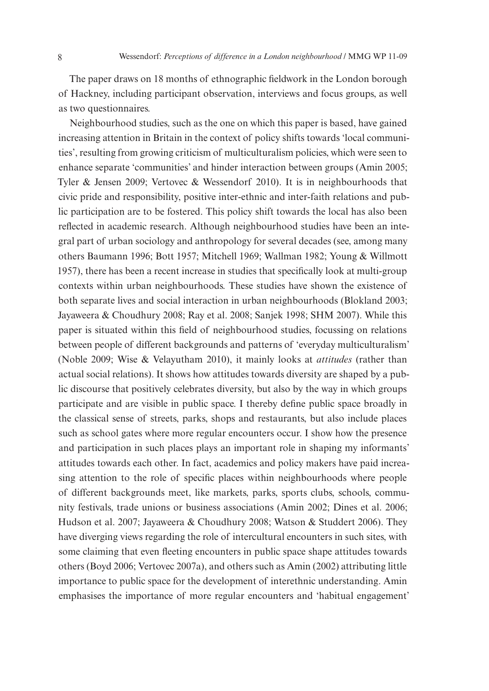The paper draws on 18 months of ethnographic fieldwork in the London borough of Hackney, including participant observation, interviews and focus groups, as well as two questionnaires.

Neighbourhood studies, such as the one on which this paper is based, have gained increasing attention in Britain in the context of policy shifts towards 'local communities', resulting from growing criticism of multiculturalism policies, which were seen to enhance separate 'communities' and hinder interaction between groups (Amin 2005; Tyler & Jensen 2009; Vertovec & Wessendorf 2010). It is in neighbourhoods that civic pride and responsibility, positive inter-ethnic and inter-faith relations and public participation are to be fostered. This policy shift towards the local has also been reflected in academic research. Although neighbourhood studies have been an integral part of urban sociology and anthropology for several decades (see, among many others Baumann 1996; Bott 1957; Mitchell 1969; Wallman 1982; Young & Willmott 1957), there has been a recent increase in studies that specifically look at multi-group contexts within urban neighbourhoods. These studies have shown the existence of both separate lives and social interaction in urban neighbourhoods (Blokland 2003; Jayaweera & Choudhury 2008; Ray et al. 2008; Sanjek 1998; SHM 2007). While this paper is situated within this field of neighbourhood studies, focussing on relations between people of different backgrounds and patterns of 'everyday multiculturalism' (Noble 2009; Wise & Velayutham 2010), it mainly looks at *attitudes* (rather than actual social relations). It shows how attitudes towards diversity are shaped by a public discourse that positively celebrates diversity, but also by the way in which groups participate and are visible in public space. I thereby define public space broadly in the classical sense of streets, parks, shops and restaurants, but also include places such as school gates where more regular encounters occur. I show how the presence and participation in such places plays an important role in shaping my informants' attitudes towards each other. In fact, academics and policy makers have paid increasing attention to the role of specific places within neighbourhoods where people of different backgrounds meet, like markets, parks, sports clubs, schools, community festivals, trade unions or business associations (Amin 2002; Dines et al. 2006; Hudson et al. 2007; Jayaweera & Choudhury 2008; Watson & Studdert 2006). They have diverging views regarding the role of intercultural encounters in such sites, with some claiming that even fleeting encounters in public space shape attitudes towards others (Boyd 2006; Vertovec 2007a), and others such as Amin (2002) attributing little importance to public space for the development of interethnic understanding. Amin emphasises the importance of more regular encounters and 'habitual engagement'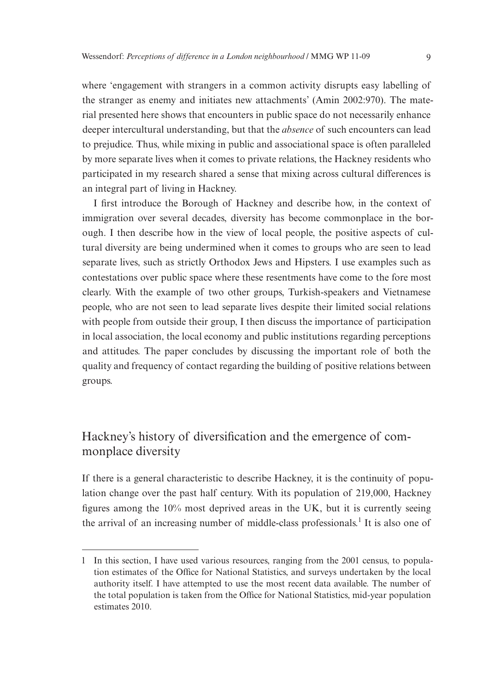where 'engagement with strangers in a common activity disrupts easy labelling of the stranger as enemy and initiates new attachments' (Amin 2002:970). The material presented here shows that encounters in public space do not necessarily enhance deeper intercultural understanding, but that the *absence* of such encounters can lead to prejudice. Thus, while mixing in public and associational space is often paralleled by more separate lives when it comes to private relations, the Hackney residents who participated in my research shared a sense that mixing across cultural differences is an integral part of living in Hackney.

I first introduce the Borough of Hackney and describe how, in the context of immigration over several decades, diversity has become commonplace in the borough. I then describe how in the view of local people, the positive aspects of cultural diversity are being undermined when it comes to groups who are seen to lead separate lives, such as strictly Orthodox Jews and Hipsters. I use examples such as contestations over public space where these resentments have come to the fore most clearly. With the example of two other groups, Turkish-speakers and Vietnamese people, who are not seen to lead separate lives despite their limited social relations with people from outside their group, I then discuss the importance of participation in local association, the local economy and public institutions regarding perceptions and attitudes. The paper concludes by discussing the important role of both the quality and frequency of contact regarding the building of positive relations between groups.

# Hackney's history of diversification and the emergence of commonplace diversity

If there is a general characteristic to describe Hackney, it is the continuity of population change over the past half century. With its population of 219,000, Hackney figures among the 10% most deprived areas in the UK, but it is currently seeing the arrival of an increasing number of middle-class professionals.<sup>1</sup> It is also one of

<sup>1</sup> In this section, I have used various resources, ranging from the 2001 census, to population estimates of the Office for National Statistics, and surveys undertaken by the local authority itself. I have attempted to use the most recent data available. The number of the total population is taken from the Office for National Statistics, mid-year population estimates 2010.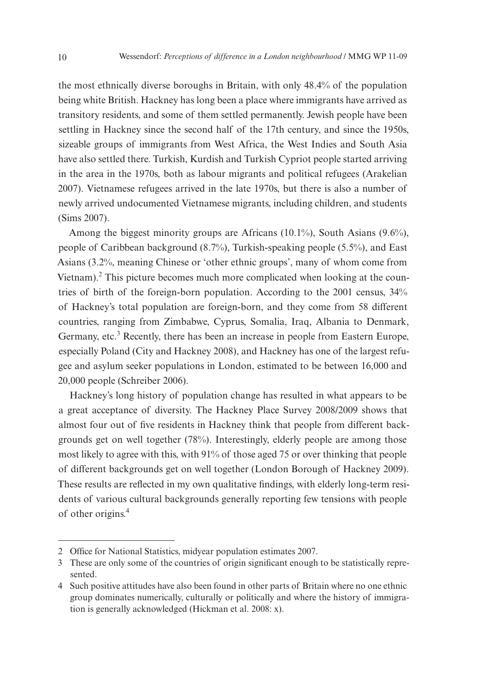the most ethnically diverse boroughs in Britain, with only 48.4% of the population being white British. Hackney has long been a place where immigrants have arrived as transitory residents, and some of them settled permanently. Jewish people have been settling in Hackney since the second half of the 17th century, and since the 1950s, sizeable groups of immigrants from West Africa, the West Indies and South Asia have also settled there. Turkish, Kurdish and Turkish Cypriot people started arriving in the area in the 1970s, both as labour migrants and political refugees (Arakelian 2007). Vietnamese refugees arrived in the late 1970s, but there is also a number of newly arrived undocumented Vietnamese migrants, including children, and students (Sims 2007).

Among the biggest minority groups are Africans (10.1%), South Asians (9.6%), people of Caribbean background (8.7%), Turkish-speaking people (5.5%), and East Asians (3.2%, meaning Chinese or 'other ethnic groups', many of whom come from Vietnam).<sup>2</sup> This picture becomes much more complicated when looking at the countries of birth of the foreign-born population. According to the 2001 census, 34% of Hackney's total population are foreign-born, and they come from 58 different countries, ranging from Zimbabwe, Cyprus, Somalia, Iraq, Albania to Denmark, Germany, etc.<sup>3</sup> Recently, there has been an increase in people from Eastern Europe, especially Poland (City and Hackney 2008), and Hackney has one of the largest refugee and asylum seeker populations in London, estimated to be between 16,000 and 20,000 people (Schreiber 2006).

Hackney's long history of population change has resulted in what appears to be a great acceptance of diversity. The Hackney Place Survey 2008/2009 shows that almost four out of five residents in Hackney think that people from different backgrounds get on well together (78%). Interestingly, elderly people are among those most likely to agree with this, with 91% of those aged 75 or over thinking that people of different backgrounds get on well together (London Borough of Hackney 2009). These results are reflected in my own qualitative findings, with elderly long-term residents of various cultural backgrounds generally reporting few tensions with people of other origins.4

<sup>2</sup> Office for National Statistics, midyear population estimates 2007.

<sup>3</sup> These are only some of the countries of origin significant enough to be statistically represented.

<sup>4</sup> Such positive attitudes have also been found in other parts of Britain where no one ethnic group dominates numerically, culturally or politically and where the history of immigration is generally acknowledged (Hickman et al. 2008: x).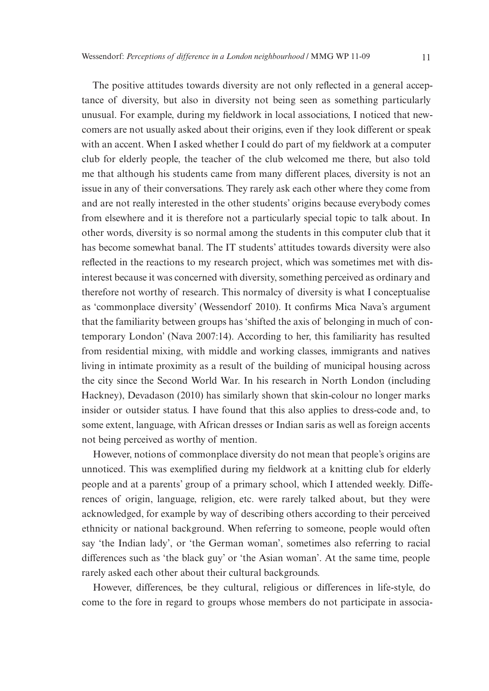The positive attitudes towards diversity are not only reflected in a general acceptance of diversity, but also in diversity not being seen as something particularly unusual. For example, during my fieldwork in local associations, I noticed that newcomers are not usually asked about their origins, even if they look different or speak with an accent. When I asked whether I could do part of my fieldwork at a computer club for elderly people, the teacher of the club welcomed me there, but also told me that although his students came from many different places, diversity is not an issue in any of their conversations. They rarely ask each other where they come from and are not really interested in the other students' origins because everybody comes from elsewhere and it is therefore not a particularly special topic to talk about. In other words, diversity is so normal among the students in this computer club that it has become somewhat banal. The IT students' attitudes towards diversity were also reflected in the reactions to my research project, which was sometimes met with disinterest because it was concerned with diversity, something perceived as ordinary and therefore not worthy of research. This normalcy of diversity is what I conceptualise as 'commonplace diversity' (Wessendorf 2010). It confirms Mica Nava's argument that the familiarity between groups has 'shifted the axis of belonging in much of contemporary London' (Nava 2007:14). According to her, this familiarity has resulted from residential mixing, with middle and working classes, immigrants and natives living in intimate proximity as a result of the building of municipal housing across the city since the Second World War. In his research in North London (including Hackney), Devadason (2010) has similarly shown that skin-colour no longer marks insider or outsider status. I have found that this also applies to dress-code and, to some extent, language, with African dresses or Indian saris as well as foreign accents not being perceived as worthy of mention.

However, notions of commonplace diversity do not mean that people's origins are unnoticed. This was exemplified during my fieldwork at a knitting club for elderly people and at a parents' group of a primary school, which I attended weekly. Differences of origin, language, religion, etc. were rarely talked about, but they were acknowledged, for example by way of describing others according to their perceived ethnicity or national background. When referring to someone, people would often say 'the Indian lady', or 'the German woman', sometimes also referring to racial differences such as 'the black guy' or 'the Asian woman'. At the same time, people rarely asked each other about their cultural backgrounds.

However, differences, be they cultural, religious or differences in life-style, do come to the fore in regard to groups whose members do not participate in associa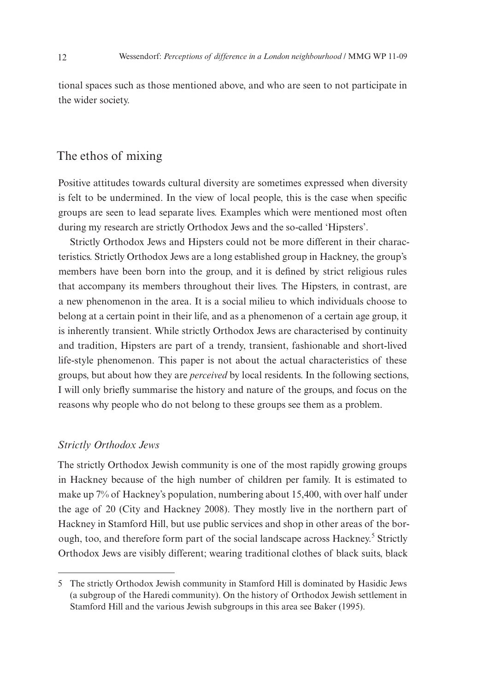tional spaces such as those mentioned above, and who are seen to not participate in the wider society.

## The ethos of mixing

Positive attitudes towards cultural diversity are sometimes expressed when diversity is felt to be undermined. In the view of local people, this is the case when specific groups are seen to lead separate lives. Examples which were mentioned most often during my research are strictly Orthodox Jews and the so-called 'Hipsters'.

Strictly Orthodox Jews and Hipsters could not be more different in their characteristics. Strictly Orthodox Jews are a long established group in Hackney, the group's members have been born into the group, and it is defined by strict religious rules that accompany its members throughout their lives. The Hipsters, in contrast, are a new phenomenon in the area. It is a social milieu to which individuals choose to belong at a certain point in their life, and as a phenomenon of a certain age group, it is inherently transient. While strictly Orthodox Jews are characterised by continuity and tradition, Hipsters are part of a trendy, transient, fashionable and short-lived life-style phenomenon. This paper is not about the actual characteristics of these groups, but about how they are *perceived* by local residents. In the following sections, I will only briefly summarise the history and nature of the groups, and focus on the reasons why people who do not belong to these groups see them as a problem.

#### *Strictly Orthodox Jews*

The strictly Orthodox Jewish community is one of the most rapidly growing groups in Hackney because of the high number of children per family. It is estimated to make up 7% of Hackney's population, numbering about 15,400, with over half under the age of 20 (City and Hackney 2008). They mostly live in the northern part of Hackney in Stamford Hill, but use public services and shop in other areas of the borough, too, and therefore form part of the social landscape across Hackney.<sup>5</sup> Strictly Orthodox Jews are visibly different; wearing traditional clothes of black suits, black

<sup>5</sup> The strictly Orthodox Jewish community in Stamford Hill is dominated by Hasidic Jews (a subgroup of the Haredi community). On the history of Orthodox Jewish settlement in Stamford Hill and the various Jewish subgroups in this area see Baker (1995).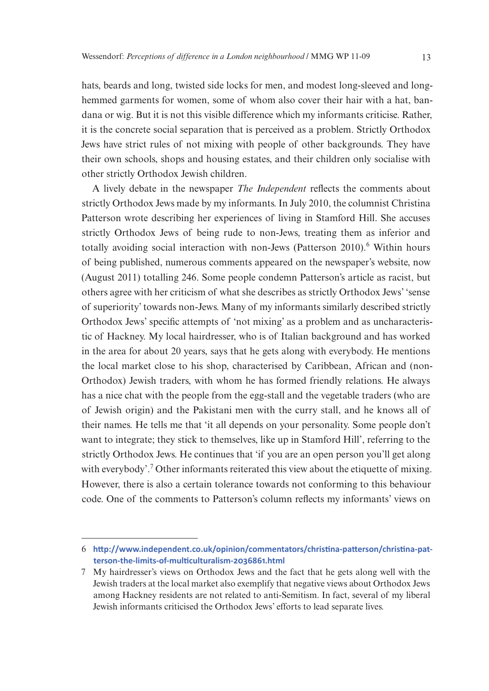hats, beards and long, twisted side locks for men, and modest long-sleeved and longhemmed garments for women, some of whom also cover their hair with a hat, bandana or wig. But it is not this visible difference which my informants criticise. Rather, it is the concrete social separation that is perceived as a problem. Strictly Orthodox Jews have strict rules of not mixing with people of other backgrounds. They have their own schools, shops and housing estates, and their children only socialise with other strictly Orthodox Jewish children.

A lively debate in the newspaper *The Independent* reflects the comments about strictly Orthodox Jews made by my informants. In July 2010, the columnist Christina Patterson wrote describing her experiences of living in Stamford Hill. She accuses strictly Orthodox Jews of being rude to non-Jews, treating them as inferior and totally avoiding social interaction with non-Jews (Patterson 2010).<sup>6</sup> Within hours of being published, numerous comments appeared on the newspaper's website, now (August 2011) totalling 246. Some people condemn Patterson's article as racist, but others agree with her criticism of what she describes as strictly Orthodox Jews' 'sense of superiority' towards non-Jews. Many of my informants similarly described strictly Orthodox Jews' specific attempts of 'not mixing' as a problem and as uncharacteristic of Hackney. My local hairdresser, who is of Italian background and has worked in the area for about 20 years, says that he gets along with everybody. He mentions the local market close to his shop, characterised by Caribbean, African and (non-Orthodox) Jewish traders, with whom he has formed friendly relations. He always has a nice chat with the people from the egg-stall and the vegetable traders (who are of Jewish origin) and the Pakistani men with the curry stall, and he knows all of their names. He tells me that 'it all depends on your personality. Some people don't want to integrate; they stick to themselves, like up in Stamford Hill', referring to the strictly Orthodox Jews. He continues that 'if you are an open person you'll get along with everybody'.<sup>7</sup> Other informants reiterated this view about the etiquette of mixing. However, there is also a certain tolerance towards not conforming to this behaviour code. One of the comments to Patterson's column reflects my informants' views on

<sup>6</sup> **http://www.independent.co.uk/opinion/commentators/christina-patterson/christina-patterson-the-limits-of-multiculturalism-2036861.html**

<sup>7</sup> My hairdresser's views on Orthodox Jews and the fact that he gets along well with the Jewish traders at the local market also exemplify that negative views about Orthodox Jews among Hackney residents are not related to anti-Semitism. In fact, several of my liberal Jewish informants criticised the Orthodox Jews' efforts to lead separate lives.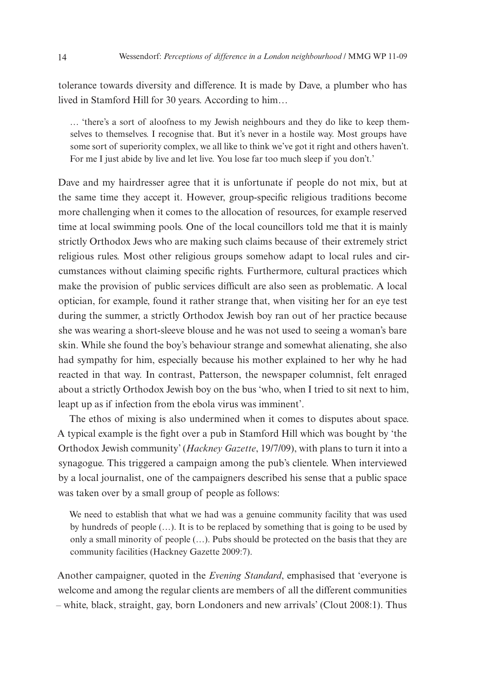tolerance towards diversity and difference. It is made by Dave, a plumber who has lived in Stamford Hill for 30 years. According to him…

… 'there's a sort of aloofness to my Jewish neighbours and they do like to keep themselves to themselves. I recognise that. But it's never in a hostile way. Most groups have some sort of superiority complex, we all like to think we've got it right and others haven't. For me I just abide by live and let live. You lose far too much sleep if you don't.'

Dave and my hairdresser agree that it is unfortunate if people do not mix, but at the same time they accept it. However, group-specific religious traditions become more challenging when it comes to the allocation of resources, for example reserved time at local swimming pools. One of the local councillors told me that it is mainly strictly Orthodox Jews who are making such claims because of their extremely strict religious rules. Most other religious groups somehow adapt to local rules and circumstances without claiming specific rights. Furthermore, cultural practices which make the provision of public services difficult are also seen as problematic. A local optician, for example, found it rather strange that, when visiting her for an eye test during the summer, a strictly Orthodox Jewish boy ran out of her practice because she was wearing a short-sleeve blouse and he was not used to seeing a woman's bare skin. While she found the boy's behaviour strange and somewhat alienating, she also had sympathy for him, especially because his mother explained to her why he had reacted in that way. In contrast, Patterson, the newspaper columnist, felt enraged about a strictly Orthodox Jewish boy on the bus 'who, when I tried to sit next to him, leapt up as if infection from the ebola virus was imminent'.

The ethos of mixing is also undermined when it comes to disputes about space. A typical example is the fight over a pub in Stamford Hill which was bought by 'the Orthodox Jewish community' (*Hackney Gazette*, 19/7/09), with plans to turn it into a synagogue. This triggered a campaign among the pub's clientele. When interviewed by a local journalist, one of the campaigners described his sense that a public space was taken over by a small group of people as follows:

We need to establish that what we had was a genuine community facility that was used by hundreds of people (…). It is to be replaced by something that is going to be used by only a small minority of people (…). Pubs should be protected on the basis that they are community facilities (Hackney Gazette 2009:7).

Another campaigner, quoted in the *Evening Standard*, emphasised that 'everyone is welcome and among the regular clients are members of all the different communities – white, black, straight, gay, born Londoners and new arrivals' (Clout 2008:1). Thus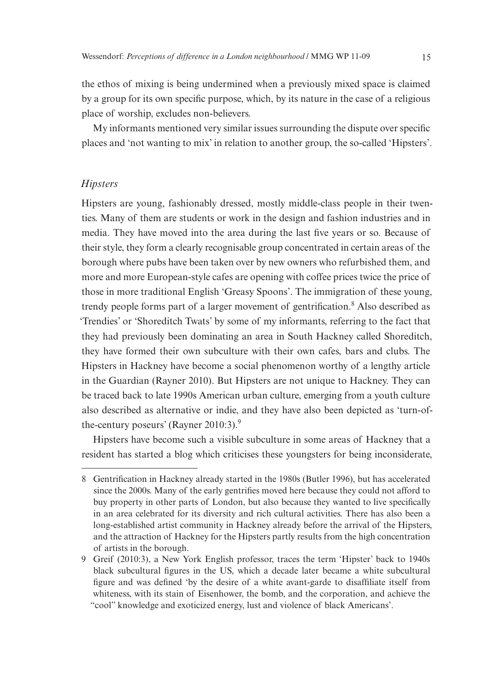the ethos of mixing is being undermined when a previously mixed space is claimed by a group for its own specific purpose, which, by its nature in the case of a religious place of worship, excludes non-believers.

My informants mentioned very similar issues surrounding the dispute over specific places and 'not wanting to mix' in relation to another group, the so-called 'Hipsters'.

#### *Hipsters*

Hipsters are young, fashionably dressed, mostly middle-class people in their twenties. Many of them are students or work in the design and fashion industries and in media. They have moved into the area during the last five years or so. Because of their style, they form a clearly recognisable group concentrated in certain areas of the borough where pubs have been taken over by new owners who refurbished them, and more and more European-style cafes are opening with coffee prices twice the price of those in more traditional English 'Greasy Spoons'. The immigration of these young, trendy people forms part of a larger movement of gentrification.<sup>8</sup> Also described as 'Trendies' or 'Shoreditch Twats' by some of my informants, referring to the fact that they had previously been dominating an area in South Hackney called Shoreditch, they have formed their own subculture with their own cafes, bars and clubs. The Hipsters in Hackney have become a social phenomenon worthy of a lengthy article in the Guardian (Rayner 2010). But Hipsters are not unique to Hackney. They can be traced back to late 1990s American urban culture, emerging from a youth culture also described as alternative or indie, and they have also been depicted as 'turn-ofthe-century poseurs' (Rayner 2010:3).<sup>9</sup>

Hipsters have become such a visible subculture in some areas of Hackney that a resident has started a blog which criticises these youngsters for being inconsiderate,

<sup>8</sup> Gentrification in Hackney already started in the 1980s (Butler 1996), but has accelerated since the 2000s. Many of the early gentrifies moved here because they could not afford to buy property in other parts of London, but also because they wanted to live specifically in an area celebrated for its diversity and rich cultural activities. There has also been a long-established artist community in Hackney already before the arrival of the Hipsters, and the attraction of Hackney for the Hipsters partly results from the high concentration of artists in the borough.

<sup>9</sup> Greif (2010:3), a New York English professor, traces the term 'Hipster' back to 1940s black subcultural figures in the US, which a decade later became a white subcultural figure and was defined 'by the desire of a white avant-garde to disaffiliate itself from whiteness, with its stain of Eisenhower, the bomb, and the corporation, and achieve the "cool" knowledge and exoticized energy, lust and violence of black Americans'.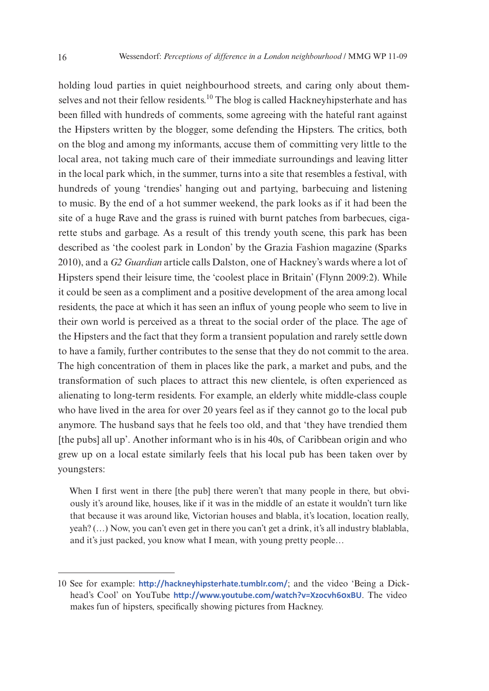holding loud parties in quiet neighbourhood streets, and caring only about themselves and not their fellow residents.<sup>10</sup> The blog is called Hackneyhipsterhate and has been filled with hundreds of comments, some agreeing with the hateful rant against the Hipsters written by the blogger, some defending the Hipsters. The critics, both on the blog and among my informants, accuse them of committing very little to the local area, not taking much care of their immediate surroundings and leaving litter in the local park which, in the summer, turns into a site that resembles a festival, with hundreds of young 'trendies' hanging out and partying, barbecuing and listening to music. By the end of a hot summer weekend, the park looks as if it had been the site of a huge Rave and the grass is ruined with burnt patches from barbecues, cigarette stubs and garbage. As a result of this trendy youth scene, this park has been described as 'the coolest park in London' by the Grazia Fashion magazine (Sparks 2010), and a *G2 Guardian* article calls Dalston, one of Hackney's wards where a lot of Hipsters spend their leisure time, the 'coolest place in Britain' (Flynn 2009:2). While it could be seen as a compliment and a positive development of the area among local residents, the pace at which it has seen an influx of young people who seem to live in their own world is perceived as a threat to the social order of the place. The age of the Hipsters and the fact that they form a transient population and rarely settle down to have a family, further contributes to the sense that they do not commit to the area. The high concentration of them in places like the park, a market and pubs, and the transformation of such places to attract this new clientele, is often experienced as alienating to long-term residents. For example, an elderly white middle-class couple who have lived in the area for over 20 years feel as if they cannot go to the local pub anymore. The husband says that he feels too old, and that 'they have trendied them [the pubs] all up'. Another informant who is in his 40s, of Caribbean origin and who grew up on a local estate similarly feels that his local pub has been taken over by youngsters:

When I first went in there [the pub] there weren't that many people in there, but obviously it's around like, houses, like if it was in the middle of an estate it wouldn't turn like that because it was around like, Victorian houses and blabla, it's location, location really, yeah? (…) Now, you can't even get in there you can't get a drink, it's all industry blablabla, and it's just packed, you know what I mean, with young pretty people…

<sup>10</sup> See for example: **http://hackneyhipsterhate.tumblr.com/**; and the video 'Being a Dickhead's Cool' on YouTube **http://www.youtube.com/watch?v=Xzocvh60xBU**. The video makes fun of hipsters, specifically showing pictures from Hackney.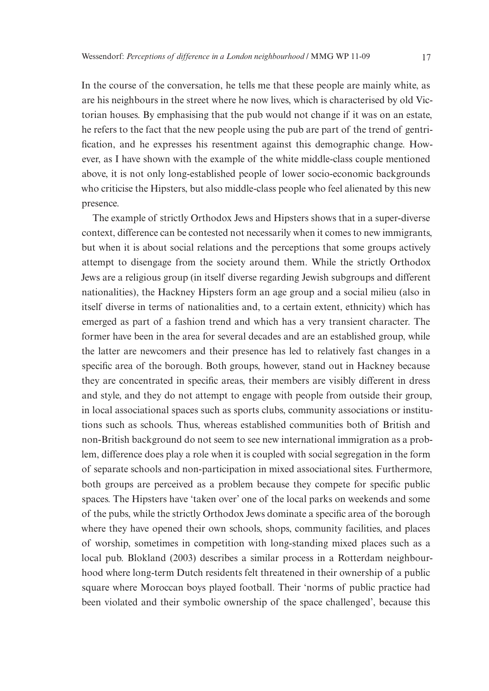In the course of the conversation, he tells me that these people are mainly white, as are his neighbours in the street where he now lives, which is characterised by old Victorian houses. By emphasising that the pub would not change if it was on an estate, he refers to the fact that the new people using the pub are part of the trend of gentrification, and he expresses his resentment against this demographic change. However, as I have shown with the example of the white middle-class couple mentioned above, it is not only long-established people of lower socio-economic backgrounds who criticise the Hipsters, but also middle-class people who feel alienated by this new presence.

The example of strictly Orthodox Jews and Hipsters shows that in a super-diverse context, difference can be contested not necessarily when it comes to new immigrants, but when it is about social relations and the perceptions that some groups actively attempt to disengage from the society around them. While the strictly Orthodox Jews are a religious group (in itself diverse regarding Jewish subgroups and different nationalities), the Hackney Hipsters form an age group and a social milieu (also in itself diverse in terms of nationalities and, to a certain extent, ethnicity) which has emerged as part of a fashion trend and which has a very transient character. The former have been in the area for several decades and are an established group, while the latter are newcomers and their presence has led to relatively fast changes in a specific area of the borough. Both groups, however, stand out in Hackney because they are concentrated in specific areas, their members are visibly different in dress and style, and they do not attempt to engage with people from outside their group, in local associational spaces such as sports clubs, community associations or institutions such as schools. Thus, whereas established communities both of British and non-British background do not seem to see new international immigration as a problem, difference does play a role when it is coupled with social segregation in the form of separate schools and non-participation in mixed associational sites. Furthermore, both groups are perceived as a problem because they compete for specific public spaces. The Hipsters have 'taken over' one of the local parks on weekends and some of the pubs, while the strictly Orthodox Jews dominate a specific area of the borough where they have opened their own schools, shops, community facilities, and places of worship, sometimes in competition with long-standing mixed places such as a local pub. Blokland (2003) describes a similar process in a Rotterdam neighbourhood where long-term Dutch residents felt threatened in their ownership of a public square where Moroccan boys played football. Their 'norms of public practice had been violated and their symbolic ownership of the space challenged', because this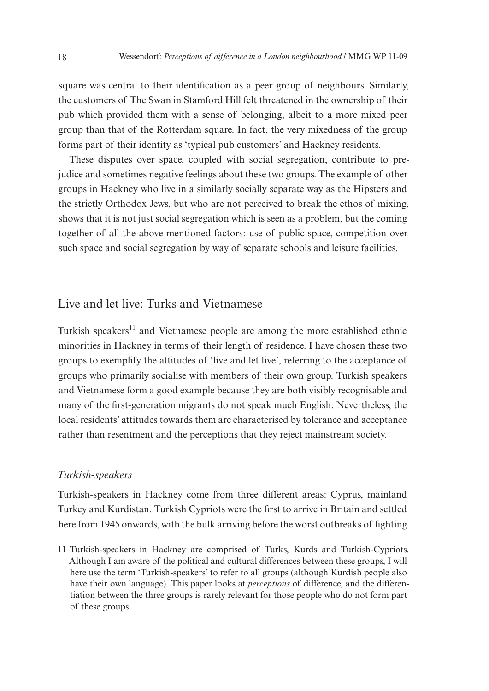square was central to their identification as a peer group of neighbours. Similarly, the customers of The Swan in Stamford Hill felt threatened in the ownership of their pub which provided them with a sense of belonging, albeit to a more mixed peer group than that of the Rotterdam square. In fact, the very mixedness of the group forms part of their identity as 'typical pub customers' and Hackney residents.

These disputes over space, coupled with social segregation, contribute to prejudice and sometimes negative feelings about these two groups. The example of other groups in Hackney who live in a similarly socially separate way as the Hipsters and the strictly Orthodox Jews, but who are not perceived to break the ethos of mixing, shows that it is not just social segregation which is seen as a problem, but the coming together of all the above mentioned factors: use of public space, competition over such space and social segregation by way of separate schools and leisure facilities.

## Live and let live: Turks and Vietnamese

Turkish speakers<sup>11</sup> and Vietnamese people are among the more established ethnic minorities in Hackney in terms of their length of residence. I have chosen these two groups to exemplify the attitudes of 'live and let live', referring to the acceptance of groups who primarily socialise with members of their own group. Turkish speakers and Vietnamese form a good example because they are both visibly recognisable and many of the first-generation migrants do not speak much English. Nevertheless, the local residents' attitudes towards them are characterised by tolerance and acceptance rather than resentment and the perceptions that they reject mainstream society.

#### *Turkish-speakers*

Turkish-speakers in Hackney come from three different areas: Cyprus, mainland Turkey and Kurdistan. Turkish Cypriots were the first to arrive in Britain and settled here from 1945 onwards, with the bulk arriving before the worst outbreaks of fighting

<sup>11</sup> Turkish-speakers in Hackney are comprised of Turks, Kurds and Turkish-Cypriots. Although I am aware of the political and cultural differences between these groups, I will here use the term 'Turkish-speakers' to refer to all groups (although Kurdish people also have their own language). This paper looks at *perceptions* of difference, and the differentiation between the three groups is rarely relevant for those people who do not form part of these groups.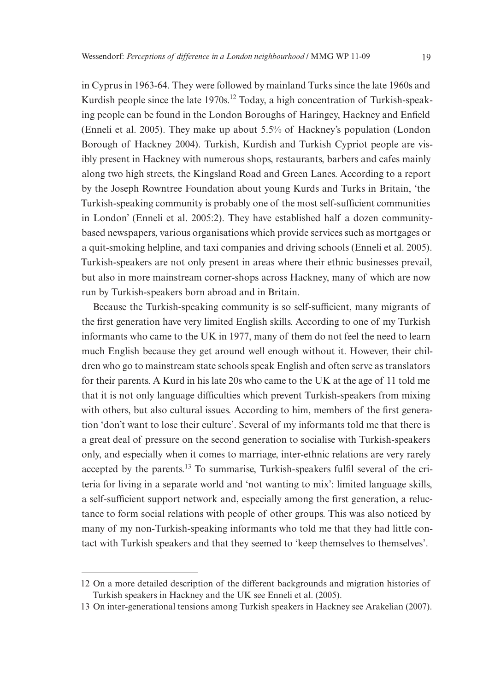in Cyprus in 1963-64. They were followed by mainland Turks since the late 1960s and Kurdish people since the late  $1970s$ <sup>12</sup> Today, a high concentration of Turkish-speaking people can be found in the London Boroughs of Haringey, Hackney and Enfield (Enneli et al. 2005). They make up about 5.5% of Hackney's population (London Borough of Hackney 2004). Turkish, Kurdish and Turkish Cypriot people are visibly present in Hackney with numerous shops, restaurants, barbers and cafes mainly along two high streets, the Kingsland Road and Green Lanes. According to a report by the Joseph Rowntree Foundation about young Kurds and Turks in Britain, 'the Turkish-speaking community is probably one of the most self-sufficient communities in London' (Enneli et al. 2005:2). They have established half a dozen communitybased newspapers, various organisations which provide services such as mortgages or a quit-smoking helpline, and taxi companies and driving schools (Enneli et al. 2005). Turkish-speakers are not only present in areas where their ethnic businesses prevail, but also in more mainstream corner-shops across Hackney, many of which are now run by Turkish-speakers born abroad and in Britain.

Because the Turkish-speaking community is so self-sufficient, many migrants of the first generation have very limited English skills. According to one of my Turkish informants who came to the UK in 1977, many of them do not feel the need to learn much English because they get around well enough without it. However, their children who go to mainstream state schools speak English and often serve as translators for their parents. A Kurd in his late 20s who came to the UK at the age of 11 told me that it is not only language difficulties which prevent Turkish-speakers from mixing with others, but also cultural issues. According to him, members of the first generation 'don't want to lose their culture'. Several of my informants told me that there is a great deal of pressure on the second generation to socialise with Turkish-speakers only, and especially when it comes to marriage, inter-ethnic relations are very rarely accepted by the parents.<sup>13</sup> To summarise, Turkish-speakers fulfil several of the criteria for living in a separate world and 'not wanting to mix': limited language skills, a self-sufficient support network and, especially among the first generation, a reluctance to form social relations with people of other groups. This was also noticed by many of my non-Turkish-speaking informants who told me that they had little contact with Turkish speakers and that they seemed to 'keep themselves to themselves'.

<sup>12</sup> On a more detailed description of the different backgrounds and migration histories of Turkish speakers in Hackney and the UK see Enneli et al. (2005).

<sup>13</sup> On inter-generational tensions among Turkish speakers in Hackney see Arakelian (2007).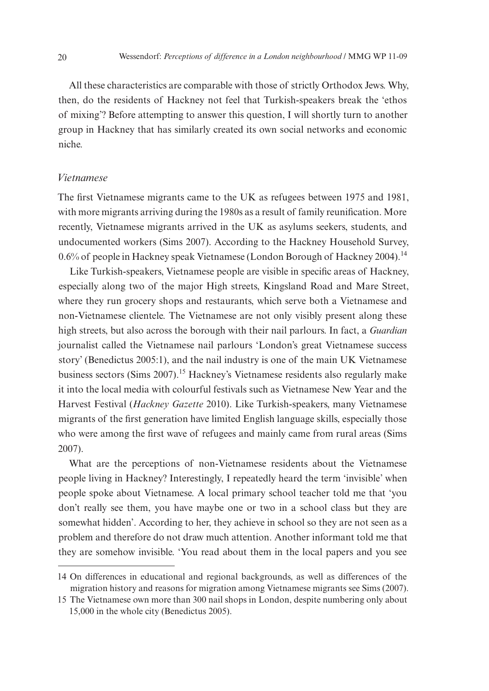All these characteristics are comparable with those of strictly Orthodox Jews. Why, then, do the residents of Hackney not feel that Turkish-speakers break the 'ethos of mixing'? Before attempting to answer this question, I will shortly turn to another group in Hackney that has similarly created its own social networks and economic niche.

#### *Vietnamese*

The first Vietnamese migrants came to the UK as refugees between 1975 and 1981, with more migrants arriving during the 1980s as a result of family reunification. More recently, Vietnamese migrants arrived in the UK as asylums seekers, students, and undocumented workers (Sims 2007). According to the Hackney Household Survey, 0.6% of people in Hackney speak Vietnamese (London Borough of Hackney 2004).<sup>14</sup>

Like Turkish-speakers, Vietnamese people are visible in specific areas of Hackney, especially along two of the major High streets, Kingsland Road and Mare Street, where they run grocery shops and restaurants, which serve both a Vietnamese and non-Vietnamese clientele. The Vietnamese are not only visibly present along these high streets, but also across the borough with their nail parlours. In fact, a *Guardian* journalist called the Vietnamese nail parlours 'London's great Vietnamese success story' (Benedictus 2005:1), and the nail industry is one of the main UK Vietnamese business sectors (Sims 2007).15 Hackney's Vietnamese residents also regularly make it into the local media with colourful festivals such as Vietnamese New Year and the Harvest Festival (*Hackney Gazette* 2010). Like Turkish-speakers, many Vietnamese migrants of the first generation have limited English language skills, especially those who were among the first wave of refugees and mainly came from rural areas (Sims 2007).

What are the perceptions of non-Vietnamese residents about the Vietnamese people living in Hackney? Interestingly, I repeatedly heard the term 'invisible' when people spoke about Vietnamese. A local primary school teacher told me that 'you don't really see them, you have maybe one or two in a school class but they are somewhat hidden'. According to her, they achieve in school so they are not seen as a problem and therefore do not draw much attention. Another informant told me that they are somehow invisible. 'You read about them in the local papers and you see

<sup>14</sup> On differences in educational and regional backgrounds, as well as differences of the migration history and reasons for migration among Vietnamese migrants see Sims (2007).

<sup>15</sup> The Vietnamese own more than 300 nail shops in London, despite numbering only about 15,000 in the whole city (Benedictus 2005).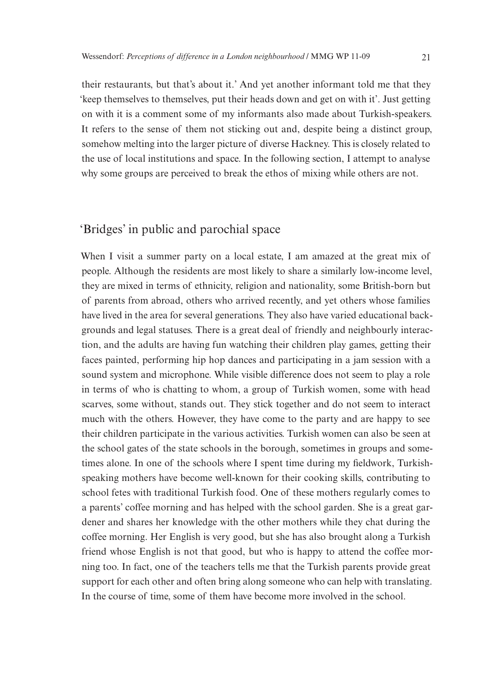their restaurants, but that's about it.' And yet another informant told me that they 'keep themselves to themselves, put their heads down and get on with it'. Just getting on with it is a comment some of my informants also made about Turkish-speakers. It refers to the sense of them not sticking out and, despite being a distinct group, somehow melting into the larger picture of diverse Hackney. This is closely related to the use of local institutions and space. In the following section, I attempt to analyse why some groups are perceived to break the ethos of mixing while others are not.

### 'Bridges' in public and parochial space

When I visit a summer party on a local estate, I am amazed at the great mix of people. Although the residents are most likely to share a similarly low-income level, they are mixed in terms of ethnicity, religion and nationality, some British-born but of parents from abroad, others who arrived recently, and yet others whose families have lived in the area for several generations. They also have varied educational backgrounds and legal statuses. There is a great deal of friendly and neighbourly interaction, and the adults are having fun watching their children play games, getting their faces painted, performing hip hop dances and participating in a jam session with a sound system and microphone. While visible difference does not seem to play a role in terms of who is chatting to whom, a group of Turkish women, some with head scarves, some without, stands out. They stick together and do not seem to interact much with the others. However, they have come to the party and are happy to see their children participate in the various activities. Turkish women can also be seen at the school gates of the state schools in the borough, sometimes in groups and sometimes alone. In one of the schools where I spent time during my fieldwork, Turkishspeaking mothers have become well-known for their cooking skills, contributing to school fetes with traditional Turkish food. One of these mothers regularly comes to a parents' coffee morning and has helped with the school garden. She is a great gardener and shares her knowledge with the other mothers while they chat during the coffee morning. Her English is very good, but she has also brought along a Turkish friend whose English is not that good, but who is happy to attend the coffee morning too. In fact, one of the teachers tells me that the Turkish parents provide great support for each other and often bring along someone who can help with translating. In the course of time, some of them have become more involved in the school.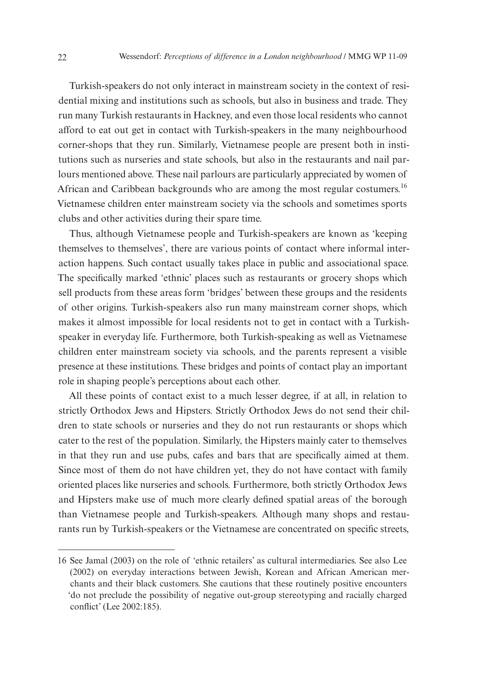Turkish-speakers do not only interact in mainstream society in the context of residential mixing and institutions such as schools, but also in business and trade. They run many Turkish restaurants in Hackney, and even those local residents who cannot afford to eat out get in contact with Turkish-speakers in the many neighbourhood corner-shops that they run. Similarly, Vietnamese people are present both in institutions such as nurseries and state schools, but also in the restaurants and nail parlours mentioned above. These nail parlours are particularly appreciated by women of African and Caribbean backgrounds who are among the most regular costumers.<sup>16</sup> Vietnamese children enter mainstream society via the schools and sometimes sports clubs and other activities during their spare time.

Thus, although Vietnamese people and Turkish-speakers are known as 'keeping themselves to themselves', there are various points of contact where informal interaction happens. Such contact usually takes place in public and associational space. The specifically marked 'ethnic' places such as restaurants or grocery shops which sell products from these areas form 'bridges' between these groups and the residents of other origins. Turkish-speakers also run many mainstream corner shops, which makes it almost impossible for local residents not to get in contact with a Turkishspeaker in everyday life. Furthermore, both Turkish-speaking as well as Vietnamese children enter mainstream society via schools, and the parents represent a visible presence at these institutions. These bridges and points of contact play an important role in shaping people's perceptions about each other.

All these points of contact exist to a much lesser degree, if at all, in relation to strictly Orthodox Jews and Hipsters. Strictly Orthodox Jews do not send their children to state schools or nurseries and they do not run restaurants or shops which cater to the rest of the population. Similarly, the Hipsters mainly cater to themselves in that they run and use pubs, cafes and bars that are specifically aimed at them. Since most of them do not have children yet, they do not have contact with family oriented places like nurseries and schools. Furthermore, both strictly Orthodox Jews and Hipsters make use of much more clearly defined spatial areas of the borough than Vietnamese people and Turkish-speakers. Although many shops and restaurants run by Turkish-speakers or the Vietnamese are concentrated on specific streets,

<sup>16</sup> See Jamal (2003) on the role of 'ethnic retailers' as cultural intermediaries. See also Lee (2002) on everyday interactions between Jewish, Korean and African American merchants and their black customers. She cautions that these routinely positive encounters 'do not preclude the possibility of negative out-group stereotyping and racially charged conflict' (Lee 2002:185).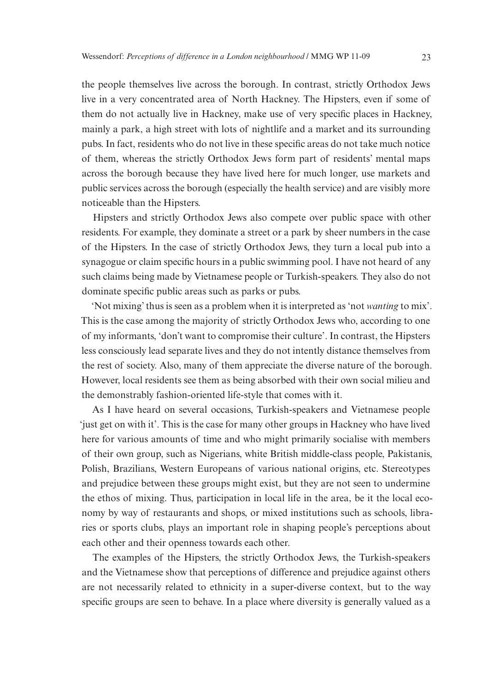the people themselves live across the borough. In contrast, strictly Orthodox Jews live in a very concentrated area of North Hackney. The Hipsters, even if some of them do not actually live in Hackney, make use of very specific places in Hackney, mainly a park, a high street with lots of nightlife and a market and its surrounding pubs. In fact, residents who do not live in these specific areas do not take much notice of them, whereas the strictly Orthodox Jews form part of residents' mental maps across the borough because they have lived here for much longer, use markets and public services across the borough (especially the health service) and are visibly more noticeable than the Hipsters.

Hipsters and strictly Orthodox Jews also compete over public space with other residents. For example, they dominate a street or a park by sheer numbers in the case of the Hipsters. In the case of strictly Orthodox Jews, they turn a local pub into a synagogue or claim specific hours in a public swimming pool. I have not heard of any such claims being made by Vietnamese people or Turkish-speakers. They also do not dominate specific public areas such as parks or pubs.

'Not mixing' thus is seen as a problem when it is interpreted as 'not *wanting* to mix'. This is the case among the majority of strictly Orthodox Jews who, according to one of my informants, 'don't want to compromise their culture'. In contrast, the Hipsters less consciously lead separate lives and they do not intently distance themselves from the rest of society. Also, many of them appreciate the diverse nature of the borough. However, local residents see them as being absorbed with their own social milieu and the demonstrably fashion-oriented life-style that comes with it.

As I have heard on several occasions, Turkish-speakers and Vietnamese people 'just get on with it'. This is the case for many other groups in Hackney who have lived here for various amounts of time and who might primarily socialise with members of their own group, such as Nigerians, white British middle-class people, Pakistanis, Polish, Brazilians, Western Europeans of various national origins, etc. Stereotypes and prejudice between these groups might exist, but they are not seen to undermine the ethos of mixing. Thus, participation in local life in the area, be it the local economy by way of restaurants and shops, or mixed institutions such as schools, libraries or sports clubs, plays an important role in shaping people's perceptions about each other and their openness towards each other.

The examples of the Hipsters, the strictly Orthodox Jews, the Turkish-speakers and the Vietnamese show that perceptions of difference and prejudice against others are not necessarily related to ethnicity in a super-diverse context, but to the way specific groups are seen to behave. In a place where diversity is generally valued as a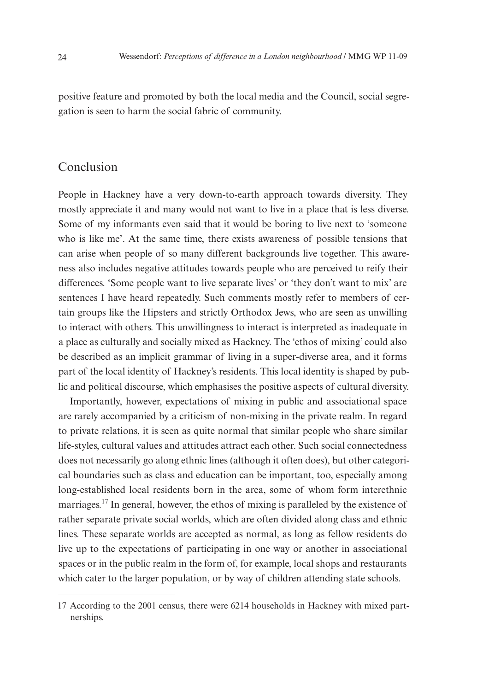positive feature and promoted by both the local media and the Council, social segregation is seen to harm the social fabric of community.

### Conclusion

People in Hackney have a very down-to-earth approach towards diversity. They mostly appreciate it and many would not want to live in a place that is less diverse. Some of my informants even said that it would be boring to live next to 'someone who is like me'. At the same time, there exists awareness of possible tensions that can arise when people of so many different backgrounds live together. This awareness also includes negative attitudes towards people who are perceived to reify their differences. 'Some people want to live separate lives' or 'they don't want to mix' are sentences I have heard repeatedly. Such comments mostly refer to members of certain groups like the Hipsters and strictly Orthodox Jews, who are seen as unwilling to interact with others. This unwillingness to interact is interpreted as inadequate in a place as culturally and socially mixed as Hackney. The 'ethos of mixing' could also be described as an implicit grammar of living in a super-diverse area, and it forms part of the local identity of Hackney's residents. This local identity is shaped by public and political discourse, which emphasises the positive aspects of cultural diversity.

Importantly, however, expectations of mixing in public and associational space are rarely accompanied by a criticism of non-mixing in the private realm. In regard to private relations, it is seen as quite normal that similar people who share similar life-styles, cultural values and attitudes attract each other. Such social connectedness does not necessarily go along ethnic lines (although it often does), but other categorical boundaries such as class and education can be important, too, especially among long-established local residents born in the area, some of whom form interethnic marriages.<sup>17</sup> In general, however, the ethos of mixing is paralleled by the existence of rather separate private social worlds, which are often divided along class and ethnic lines. These separate worlds are accepted as normal, as long as fellow residents do live up to the expectations of participating in one way or another in associational spaces or in the public realm in the form of, for example, local shops and restaurants which cater to the larger population, or by way of children attending state schools.

<sup>17</sup> According to the 2001 census, there were 6214 households in Hackney with mixed partnerships.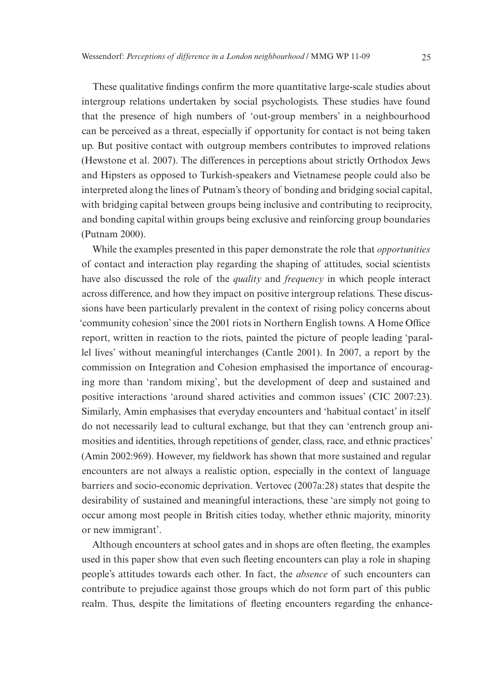These qualitative findings confirm the more quantitative large-scale studies about intergroup relations undertaken by social psychologists. These studies have found that the presence of high numbers of 'out-group members' in a neighbourhood can be perceived as a threat, especially if opportunity for contact is not being taken up. But positive contact with outgroup members contributes to improved relations (Hewstone et al. 2007). The differences in perceptions about strictly Orthodox Jews and Hipsters as opposed to Turkish-speakers and Vietnamese people could also be interpreted along the lines of Putnam's theory of bonding and bridging social capital, with bridging capital between groups being inclusive and contributing to reciprocity. and bonding capital within groups being exclusive and reinforcing group boundaries (Putnam 2000).

While the examples presented in this paper demonstrate the role that *opportunities* of contact and interaction play regarding the shaping of attitudes, social scientists have also discussed the role of the *quality* and *frequency* in which people interact across difference, and how they impact on positive intergroup relations. These discussions have been particularly prevalent in the context of rising policy concerns about 'community cohesion' since the 2001 riots in Northern English towns. A Home Office report, written in reaction to the riots, painted the picture of people leading 'parallel lives' without meaningful interchanges (Cantle 2001). In 2007, a report by the commission on Integration and Cohesion emphasised the importance of encouraging more than 'random mixing', but the development of deep and sustained and positive interactions 'around shared activities and common issues' (CIC 2007:23). Similarly, Amin emphasises that everyday encounters and 'habitual contact' in itself do not necessarily lead to cultural exchange, but that they can 'entrench group animosities and identities, through repetitions of gender, class, race, and ethnic practices' (Amin 2002:969). However, my fieldwork has shown that more sustained and regular encounters are not always a realistic option, especially in the context of language barriers and socio-economic deprivation. Vertovec (2007a:28) states that despite the desirability of sustained and meaningful interactions, these 'are simply not going to occur among most people in British cities today, whether ethnic majority, minority or new immigrant'.

Although encounters at school gates and in shops are often fleeting, the examples used in this paper show that even such fleeting encounters can play a role in shaping people's attitudes towards each other. In fact, the *absence* of such encounters can contribute to prejudice against those groups which do not form part of this public realm. Thus, despite the limitations of fleeting encounters regarding the enhance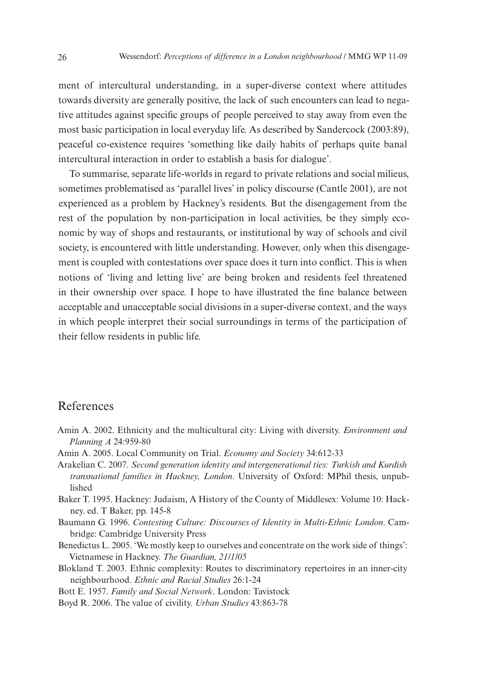ment of intercultural understanding, in a super-diverse context where attitudes towards diversity are generally positive, the lack of such encounters can lead to negative attitudes against specific groups of people perceived to stay away from even the most basic participation in local everyday life. As described by Sandercock (2003:89), peaceful co-existence requires 'something like daily habits of perhaps quite banal intercultural interaction in order to establish a basis for dialogue'.

To summarise, separate life-worlds in regard to private relations and social milieus, sometimes problematised as 'parallel lives' in policy discourse (Cantle 2001), are not experienced as a problem by Hackney's residents. But the disengagement from the rest of the population by non-participation in local activities, be they simply economic by way of shops and restaurants, or institutional by way of schools and civil society, is encountered with little understanding. However, only when this disengagement is coupled with contestations over space does it turn into conflict. This is when notions of 'living and letting live' are being broken and residents feel threatened in their ownership over space. I hope to have illustrated the fine balance between acceptable and unacceptable social divisions in a super-diverse context, and the ways in which people interpret their social surroundings in terms of the participation of their fellow residents in public life.

#### References

- Amin A. 2002. Ethnicity and the multicultural city: Living with diversity. *Environment and Planning A* 24:959-80
- Amin A. 2005. Local Community on Trial. *Economy and Society* 34:612-33
- Arakelian C. 2007. *Second generation identity and intergenerational ties: Turkish and Kurdish transnational families in Hackney, London*. University of Oxford: MPhil thesis, unpublished
- Baker T. 1995. Hackney: Judaism, A History of the County of Middlesex: Volume 10: Hackney. ed. T Baker, pp. 145-8
- Baumann G. 1996. *Contesting Culture: Discourses of Identity in Multi-Ethnic London*. Cambridge: Cambridge University Press
- Benedictus L. 2005. 'We mostly keep to ourselves and concentrate on the work side of things': Vietnamese in Hackney. *The Guardian, 21/1/05*
- Blokland T. 2003. Ethnic complexity: Routes to discriminatory repertoires in an inner-city neighbourhood. *Ethnic and Racial Studies* 26:1-24
- Bott E. 1957. *Family and Social Network*. London: Tavistock
- Boyd R. 2006. The value of civility. *Urban Studies* 43:863-78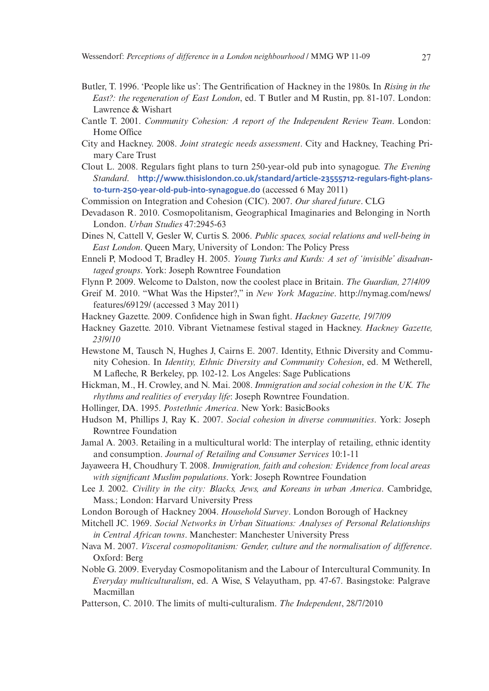- Butler, T. 1996. 'People like us': The Gentrification of Hackney in the 1980s. In *Rising in the East?: the regeneration of East London*, ed. T Butler and M Rustin, pp. 81-107. London: Lawrence & Wishart
- Cantle T. 2001. *Community Cohesion: A report of the Independent Review Team*. London: Home Office
- City and Hackney. 2008. *Joint strategic needs assessment*. City and Hackney, Teaching Primary Care Trust
- Clout L. 2008. Regulars fight plans to turn 250-year-old pub into synagogue. *The Evening Standard*. **http://www.thisislondon.co.uk/standard/article-23555712-regulars-fight-plansto-turn-250-year-old-pub-into-synagogue.do** (accessed 6 May 2011)
- Commission on Integration and Cohesion (CIC). 2007. *Our shared future*. CLG
- Devadason R. 2010. Cosmopolitanism, Geographical Imaginaries and Belonging in North London. *Urban Studies* 47:2945-63
- Dines N, Cattell V, Gesler W, Curtis S. 2006. *Public spaces, social relations and well-being in East London*. Queen Mary, University of London: The Policy Press
- Enneli P, Modood T, Bradley H. 2005. *Young Turks and Kurds: A set of 'invisible' disadvantaged groups*. York: Joseph Rowntree Foundation
- Flynn P. 2009. Welcome to Dalston, now the coolest place in Britain. *The Guardian, 27/4/09*
- Greif M. 2010. "What Was the Hipster?," in *New York Magazine*. http://nymag.com/news/ features/69129/ (accessed 3 May 2011)
- Hackney Gazette. 2009. Confidence high in Swan fight. *Hackney Gazette, 19/7/09*
- Hackney Gazette. 2010. Vibrant Vietnamese festival staged in Hackney. *Hackney Gazette, 23/9/10*
- Hewstone M, Tausch N, Hughes J, Cairns E. 2007. Identity, Ethnic Diversity and Community Cohesion. In *Identity, Ethnic Diversity and Community Cohesion*, ed. M Wetherell, M Lafleche, R Berkeley, pp. 102-12. Los Angeles: Sage Publications
- Hickman, M., H. Crowley, and N. Mai. 2008. *Immigration and social cohesion in the UK. The rhythms and realities of everyday life*: Joseph Rowntree Foundation.
- Hollinger, DA. 1995. *Postethnic America*. New York: BasicBooks
- Hudson M, Phillips J, Ray K. 2007. *Social cohesion in diverse communities*. York: Joseph Rowntree Foundation
- Jamal A. 2003. Retailing in a multicultural world: The interplay of retailing, ethnic identity and consumption. *Journal of Retailing and Consumer Services* 10:1-11
- Jayaweera H, Choudhury T. 2008. *Immigration, faith and cohesion: Evidence from local areas with significant Muslim populations*. York: Joseph Rowntree Foundation
- Lee J. 2002. *Civility in the city: Blacks, Jews, and Koreans in urban America*. Cambridge, Mass.; London: Harvard University Press
- London Borough of Hackney 2004. *Household Survey*. London Borough of Hackney
- Mitchell JC. 1969. *Social Networks in Urban Situations: Analyses of Personal Relationships in Central African towns*. Manchester: Manchester University Press
- Nava M. 2007. *Visceral cosmopolitanism: Gender, culture and the normalisation of difference*. Oxford: Berg
- Noble G. 2009. Everyday Cosmopolitanism and the Labour of Intercultural Community. In *Everyday multiculturalism*, ed. A Wise, S Velayutham, pp. 47-67. Basingstoke: Palgrave Macmillan
- Patterson, C. 2010. The limits of multi-culturalism. *The Independent*, 28/7/2010